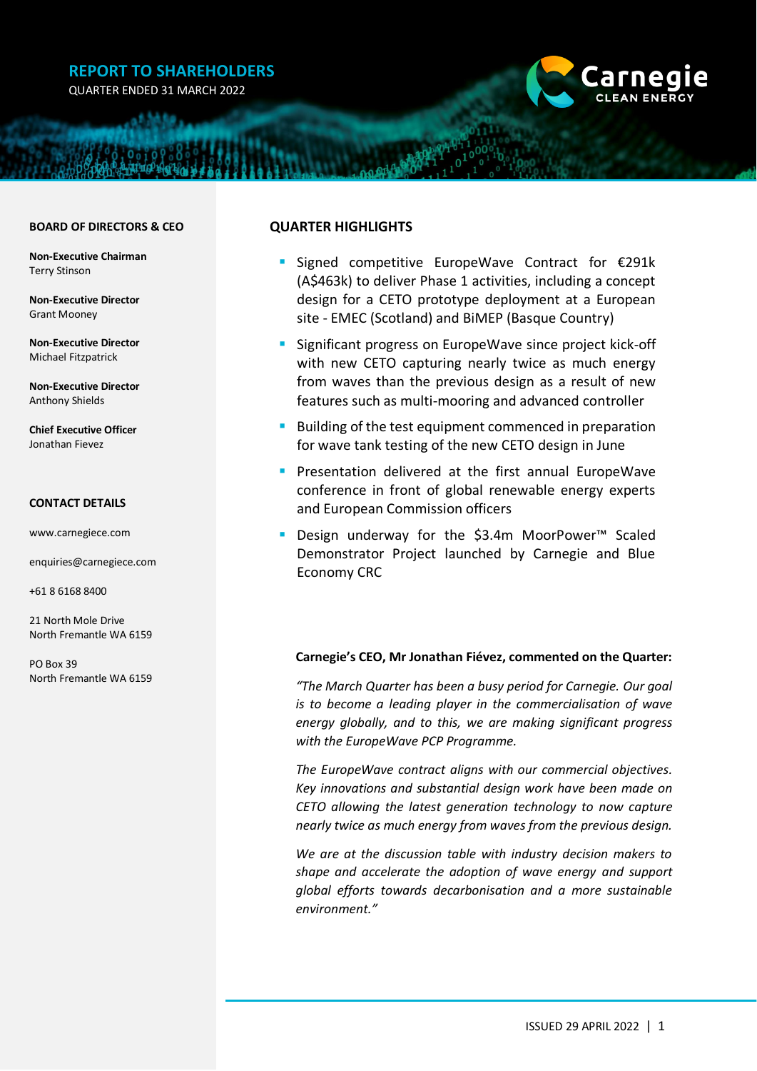# **REPORT TO SHAREHOLDERS**

QUARTER ENDED 31 MARCH 2022



#### **BOARD OF DIRECTORS & CEO**

**Non-Executive Chairman** Terry Stinson

**Non-Executive Director** Grant Mooney

**Non-Executive Director** Michael Fitzpatrick

**Non-Executive Director** Anthony Shields

**Chief Executive Officer** Jonathan Fievez

#### **CONTACT DETAILS**

[www.carnegiece.com](http://www.carnegiece.com/)

[enquiries@carnegiece.com](mailto:enquiries@carnegiece.com)

+61 8 6168 8400

21 North Mole Drive North Fremantle WA 6159

PO Box 39 North Fremantle WA 6159

#### **QUARTER HIGHLIGHTS**

- Signed competitive EuropeWave Contract for  $E291k$ (A\$463k) to deliver Phase 1 activities, including a concept design for a CETO prototype deployment at a European site - EMEC (Scotland) and BiMEP (Basque Country)
- Significant progress on EuropeWave since project kick-off with new CETO capturing nearly twice as much energy from waves than the previous design as a result of new features such as multi-mooring and advanced controller
- Building of the test equipment commenced in preparation for wave tank testing of the new CETO design in June
- **•** Presentation delivered at the first annual EuropeWave conference in front of global renewable energy experts and European Commission officers
- Design underway for the \$3.4m MoorPower<sup>™</sup> Scaled Demonstrator Project launched by Carnegie and Blue Economy CRC

#### **Carnegie's CEO, Mr Jonathan Fiévez, commented on the Quarter:**

*"The March Quarter has been a busy period for Carnegie. Our goal is to become a leading player in the commercialisation of wave energy globally, and to this, we are making significant progress with the EuropeWave PCP Programme.* 

*The EuropeWave contract aligns with our commercial objectives. Key innovations and substantial design work have been made on CETO allowing the latest generation technology to now capture nearly twice as much energy from waves from the previous design.*

*We are at the discussion table with industry decision makers to shape and accelerate the adoption of wave energy and support global efforts towards decarbonisation and a more sustainable environment."*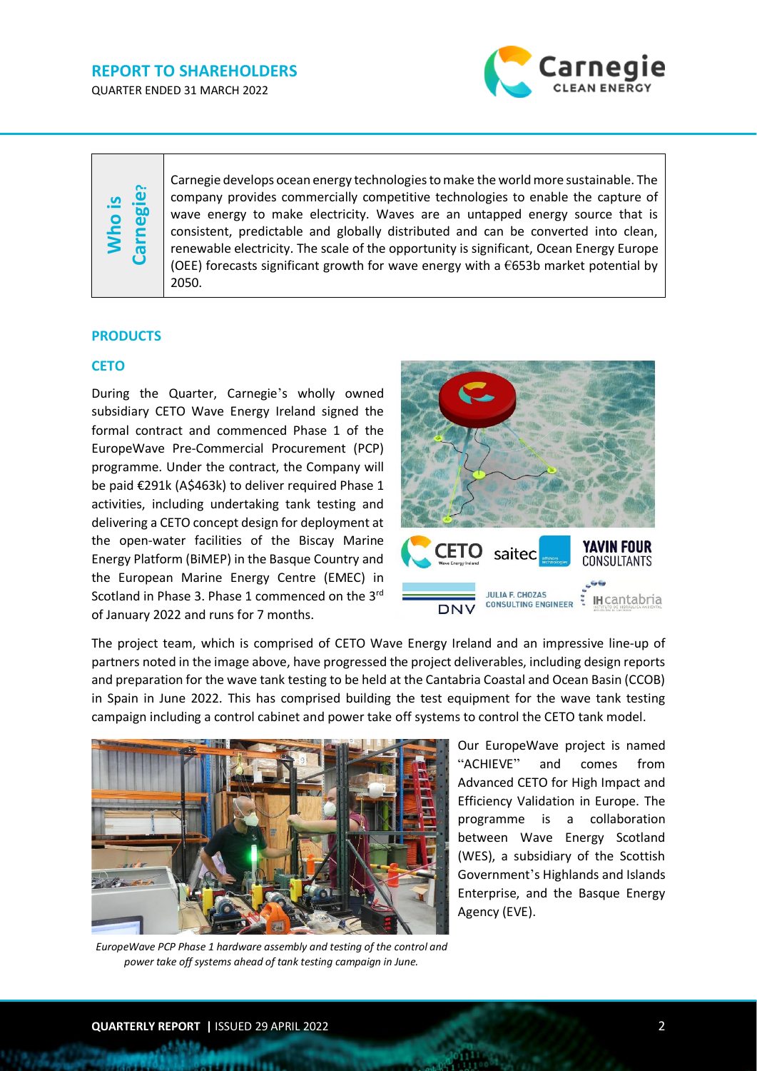# **REPORT TO SHAREHOLDERS**



# QUARTER ENDED 31 MARCH 2022

Carnegie develops ocean energy technologies to make the world more sustainable. The company provides commercially competitive technologies to enable the capture of wave energy to make electricity. Waves are an untapped energy source that is consistent, predictable and globally distributed and can be converted into clean, renewable electricity. The scale of the opportunity is significant, Ocean Energy Europe (OEE) forecasts significant growth for wave energy with a  $\epsilon$ 653b market potential by 2050.

## **PRODUCTS**

### **CETO**

During the Quarter, Carnegie's wholly owned subsidiary CETO Wave Energy Ireland signed the formal contract and commenced Phase 1 of the EuropeWave Pre-Commercial Procurement (PCP) programme. Under the contract, the Company will be paid €291k (A\$463k) to deliver required Phase 1 activities, including undertaking tank testing and delivering a CETO concept design for deployment at the open-water facilities of the Biscay Marine Energy Platform (BiMEP) in the Basque Country and the European Marine Energy Centre (EMEC) in Scotland in Phase 3. Phase 1 commenced on the 3rd of January 2022 and runs for 7 months.



The project team, which is comprised of CETO Wave Energy Ireland and an impressive line-up of partners noted in the image above, have progressed the project deliverables, including design reports and preparation for the wave tank testing to be held at the Cantabria Coastal and Ocean Basin (CCOB) in Spain in June 2022. This has comprised building the test equipment for the wave tank testing campaign including a control cabinet and power take off systems to control the CETO tank model.



*EuropeWave PCP Phase 1 hardware assembly and testing of the control and power take off systems ahead of tank testing campaign in June.*

Our EuropeWave project is named "ACHIEVE" and comes from Advanced CETO for High Impact and Efficiency Validation in Europe. The programme is a collaboration between Wave Energy Scotland (WES), a subsidiary of the Scottish Government's Highlands and Islands Enterprise, and the Basque Energy Agency (EVE).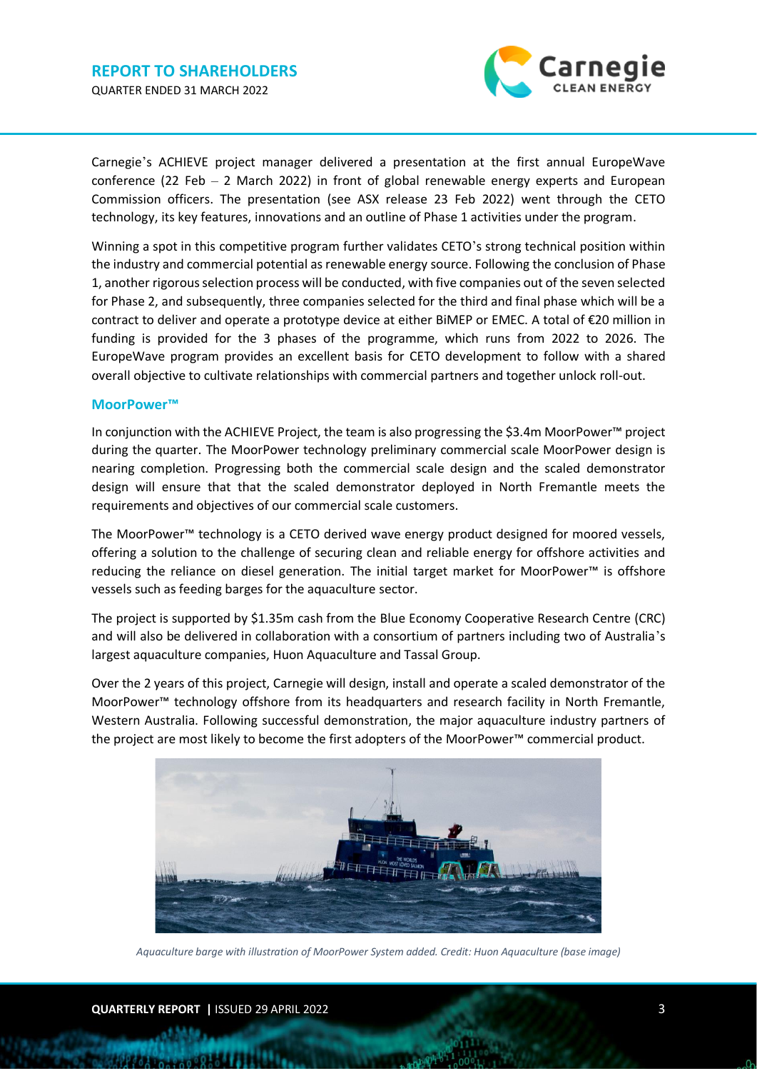

Carnegie's ACHIEVE project manager delivered a presentation at the first annual EuropeWave conference (22 Feb – 2 March 2022) in front of global renewable energy experts and European Commission officers. The presentation (see ASX release 23 Feb 2022) went through the CETO technology, its key features, innovations and an outline of Phase 1 activities under the program.

Winning a spot in this competitive program further validates CETO's strong technical position within the industry and commercial potential as renewable energy source. Following the conclusion of Phase 1, another rigorous selection process will be conducted, with five companies out of the seven selected for Phase 2, and subsequently, three companies selected for the third and final phase which will be a contract to deliver and operate a prototype device at either BiMEP or EMEC. A total of €20 million in funding is provided for the 3 phases of the programme, which runs from 2022 to 2026. The EuropeWave program provides an excellent basis for CETO development to follow with a shared overall objective to cultivate relationships with commercial partners and together unlock roll-out.

#### **MoorPower™**

In conjunction with the ACHIEVE Project, the team is also progressing the \$3.4m MoorPower™ project during the quarter. The MoorPower technology preliminary commercial scale MoorPower design is nearing completion. Progressing both the commercial scale design and the scaled demonstrator design will ensure that that the scaled demonstrator deployed in North Fremantle meets the requirements and objectives of our commercial scale customers.

The MoorPower™ technology is a CETO derived wave energy product designed for moored vessels, offering a solution to the challenge of securing clean and reliable energy for offshore activities and reducing the reliance on diesel generation. The initial target market for MoorPower™ is offshore vessels such as feeding barges for the aquaculture sector.

The project is supported by \$1.35m cash from the Blue Economy Cooperative Research Centre (CRC) and will also be delivered in collaboration with a consortium of partners including two of Australia's largest aquaculture companies, Huon Aquaculture and Tassal Group.

Over the 2 years of this project, Carnegie will design, install and operate a scaled demonstrator of the MoorPower™ technology offshore from its headquarters and research facility in North Fremantle, Western Australia. Following successful demonstration, the major aquaculture industry partners of the project are most likely to become the first adopters of the MoorPower™ commercial product.



*Aquaculture barge with illustration of MoorPower System added. Credit: Huon Aquaculture (base image)*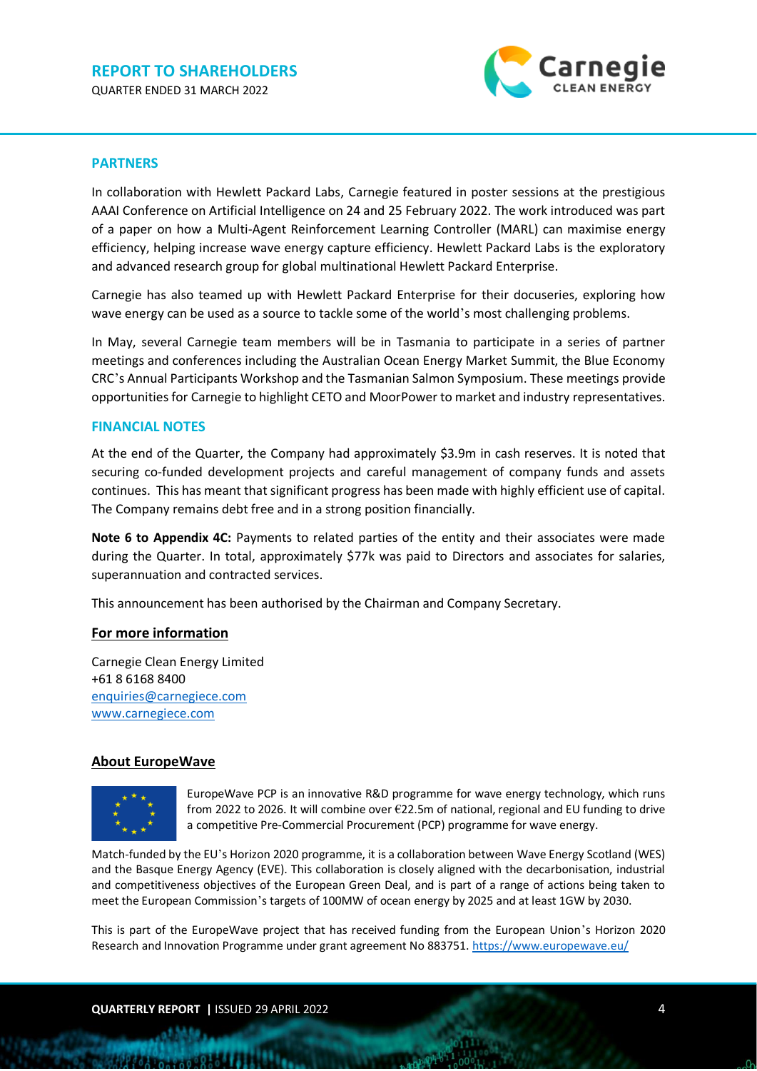

#### **PARTNERS**

In collaboration with Hewlett Packard Labs, Carnegie featured in poster sessions at the prestigious AAAI Conference on Artificial Intelligence on 24 and 25 February 2022. The work introduced was part of a paper on how a Multi-Agent Reinforcement Learning Controller (MARL) can maximise energy efficiency, helping increase wave energy capture efficiency. Hewlett Packard Labs is the exploratory and advanced research group for global multinational Hewlett Packard Enterprise.

Carnegie has also teamed up with Hewlett Packard Enterprise for their docuseries, exploring how wave energy can be used as a source to tackle some of the world's most challenging problems.

In May, several Carnegie team members will be in Tasmania to participate in a series of partner meetings and conferences including the Australian Ocean Energy Market Summit, the Blue Economy CRC's Annual Participants Workshop and the Tasmanian Salmon Symposium. These meetings provide opportunities for Carnegie to highlight CETO and MoorPower to market and industry representatives.

### **FINANCIAL NOTES**

At the end of the Quarter, the Company had approximately \$3.9m in cash reserves. It is noted that securing co-funded development projects and careful management of company funds and assets continues. This has meant that significant progress has been made with highly efficient use of capital. The Company remains debt free and in a strong position financially.

**Note 6 to Appendix 4C:** Payments to related parties of the entity and their associates were made during the Quarter. In total, approximately \$77k was paid to Directors and associates for salaries, superannuation and contracted services.

This announcement has been authorised by the Chairman and Company Secretary.

### **For more information**

Carnegie Clean Energy Limited +61 8 6168 8400 [enquiries@carnegiece.com](mailto:enquiries@carnegiece.com) [www.carnegiece.com](http://www.carnegiece.com/)

#### **About EuropeWave**



EuropeWave PCP is an innovative R&D programme for wave energy technology, which runs from 2022 to 2026. It will combine over €22.5m of national, regional and EU funding to drive a competitive Pre-Commercial Procurement (PCP) programme for wave energy.

Match-funded by the EU's Horizon 2020 programme, it is a collaboration between Wave Energy Scotland (WES) and the Basque Energy Agency (EVE). This collaboration is closely aligned with the decarbonisation, industrial and competitiveness objectives of the European Green Deal, and is part of a range of actions being taken to meet the European Commission's targets of 100MW of ocean energy by 2025 and at least 1GW by 2030.

This is part of the EuropeWave project that has received funding from the European Union's Horizon 2020 Research and Innovation Programme under grant agreement No 883751. <https://www.europewave.eu/>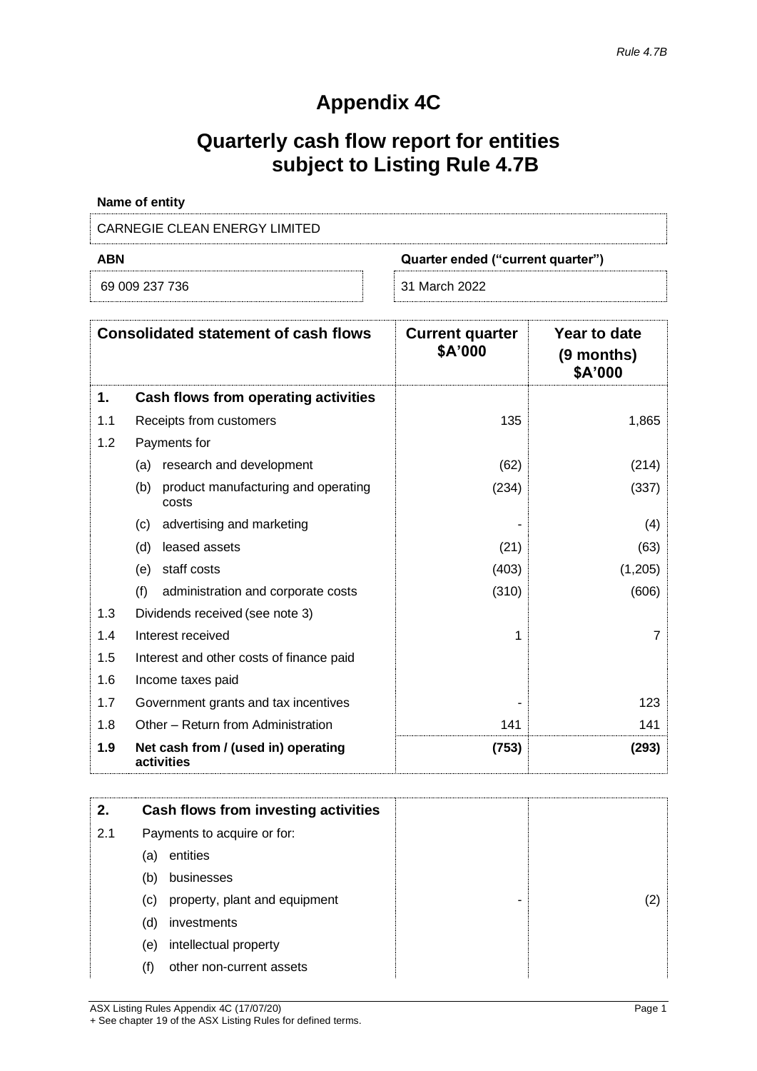# **Appendix 4C**

# **Quarterly cash flow report for entities subject to Listing Rule 4.7B**

| <b>Name of entity</b>         |                                   |
|-------------------------------|-----------------------------------|
| CARNEGIE CLEAN ENERGY LIMITED |                                   |
| ABN                           | Quarter ended ("current quarter") |

| 69 009 237 736 | 31 March 2022 |
|----------------|---------------|

| <b>Consolidated statement of cash flows</b> |                                                     | <b>Current quarter</b><br>\$A'000 | Year to date<br>(9 months)<br>\$A'000 |
|---------------------------------------------|-----------------------------------------------------|-----------------------------------|---------------------------------------|
| 1.                                          | Cash flows from operating activities                |                                   |                                       |
| 1.1                                         | Receipts from customers                             | 135                               | 1,865                                 |
| 1.2                                         | Payments for                                        |                                   |                                       |
|                                             | research and development<br>(a)                     | (62)                              | (214)                                 |
|                                             | product manufacturing and operating<br>(b)<br>costs | (234)                             | (337)                                 |
|                                             | advertising and marketing<br>(c)                    |                                   | (4)                                   |
|                                             | leased assets<br>(d)                                | (21)                              | (63)                                  |
|                                             | staff costs<br>(e)                                  | (403)                             | (1,205)                               |
|                                             | (f)<br>administration and corporate costs           | (310)                             | (606)                                 |
| 1.3                                         | Dividends received (see note 3)                     |                                   |                                       |
| 1.4                                         | Interest received                                   | 1                                 | 7                                     |
| 1.5                                         | Interest and other costs of finance paid            |                                   |                                       |
| 1.6                                         | Income taxes paid                                   |                                   |                                       |
| 1.7                                         | Government grants and tax incentives                |                                   | 123                                   |
| 1.8                                         | Other - Return from Administration                  | 141                               | 141                                   |
| 1.9                                         | Net cash from / (used in) operating<br>activities   | (753)                             | (293)                                 |

| 2.  |     | Cash flows from investing activities |  |
|-----|-----|--------------------------------------|--|
| 2.1 |     | Payments to acquire or for:          |  |
|     | (a) | entities                             |  |
|     | (b) | businesses                           |  |
|     | (C) | property, plant and equipment<br>۰   |  |
|     | (d) | investments                          |  |
|     | (e) | intellectual property                |  |
|     | (f) | other non-current assets             |  |

ASX Listing Rules Appendix 4C (17/07/20) Page 1 + See chapter 19 of the ASX Listing Rules for defined terms.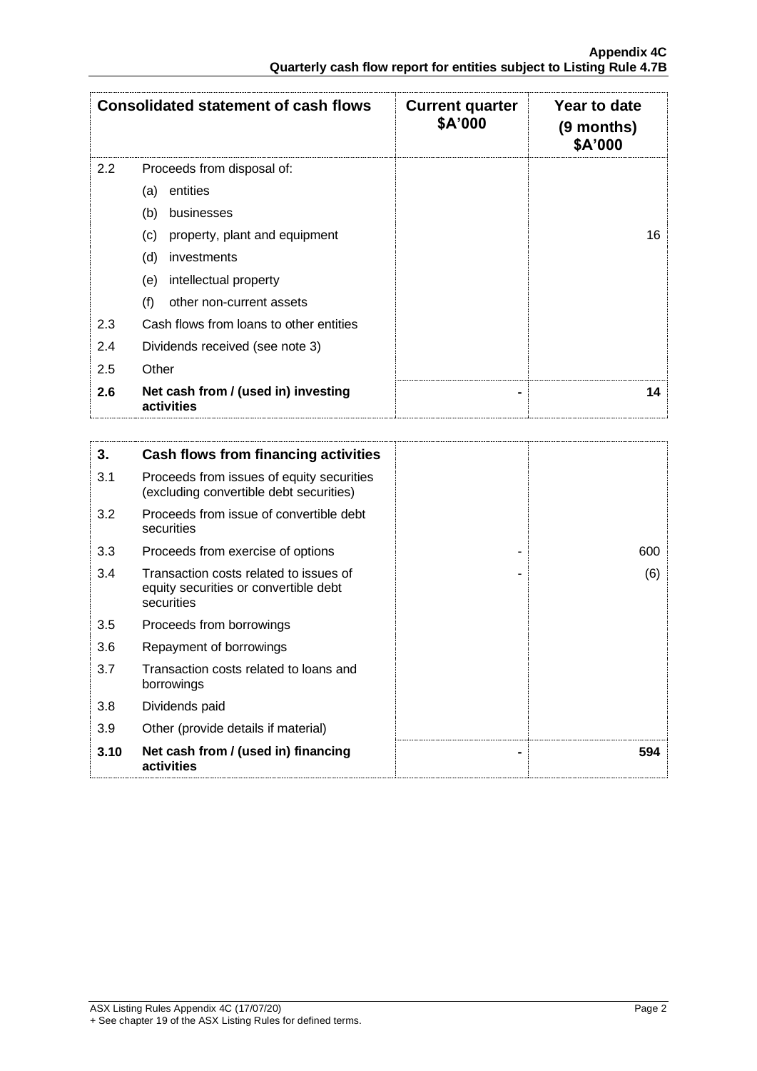| <b>Consolidated statement of cash flows</b> |                                                   | <b>Current quarter</b><br>\$A'000 | Year to date<br>(9 months)<br>\$A'000 |
|---------------------------------------------|---------------------------------------------------|-----------------------------------|---------------------------------------|
| $2.2^{\circ}$                               | Proceeds from disposal of:                        |                                   |                                       |
|                                             | entities<br>(a)                                   |                                   |                                       |
|                                             | (b)<br>businesses                                 |                                   |                                       |
|                                             | property, plant and equipment<br>(c)              |                                   | 16                                    |
|                                             | (d)<br>investments                                |                                   |                                       |
|                                             | intellectual property<br>(e)                      |                                   |                                       |
|                                             | (f)<br>other non-current assets                   |                                   |                                       |
| 2.3                                         | Cash flows from loans to other entities           |                                   |                                       |
| 2.4                                         | Dividends received (see note 3)                   |                                   |                                       |
| 2.5                                         | Other                                             |                                   |                                       |
| 2.6                                         | Net cash from / (used in) investing<br>activities |                                   | 14                                    |

| 3.   | Cash flows from financing activities                                                          |     |
|------|-----------------------------------------------------------------------------------------------|-----|
| 3.1  | Proceeds from issues of equity securities<br>(excluding convertible debt securities)          |     |
| 3.2  | Proceeds from issue of convertible debt<br>securities                                         |     |
| 3.3  | Proceeds from exercise of options                                                             | 600 |
| 3.4  | Transaction costs related to issues of<br>equity securities or convertible debt<br>securities | (6) |
| 3.5  | Proceeds from borrowings                                                                      |     |
| 3.6  | Repayment of borrowings                                                                       |     |
| 3.7  | Transaction costs related to loans and<br>borrowings                                          |     |
| 3.8  | Dividends paid                                                                                |     |
| 3.9  | Other (provide details if material)                                                           |     |
| 3.10 | Net cash from / (used in) financing<br>activities                                             | 594 |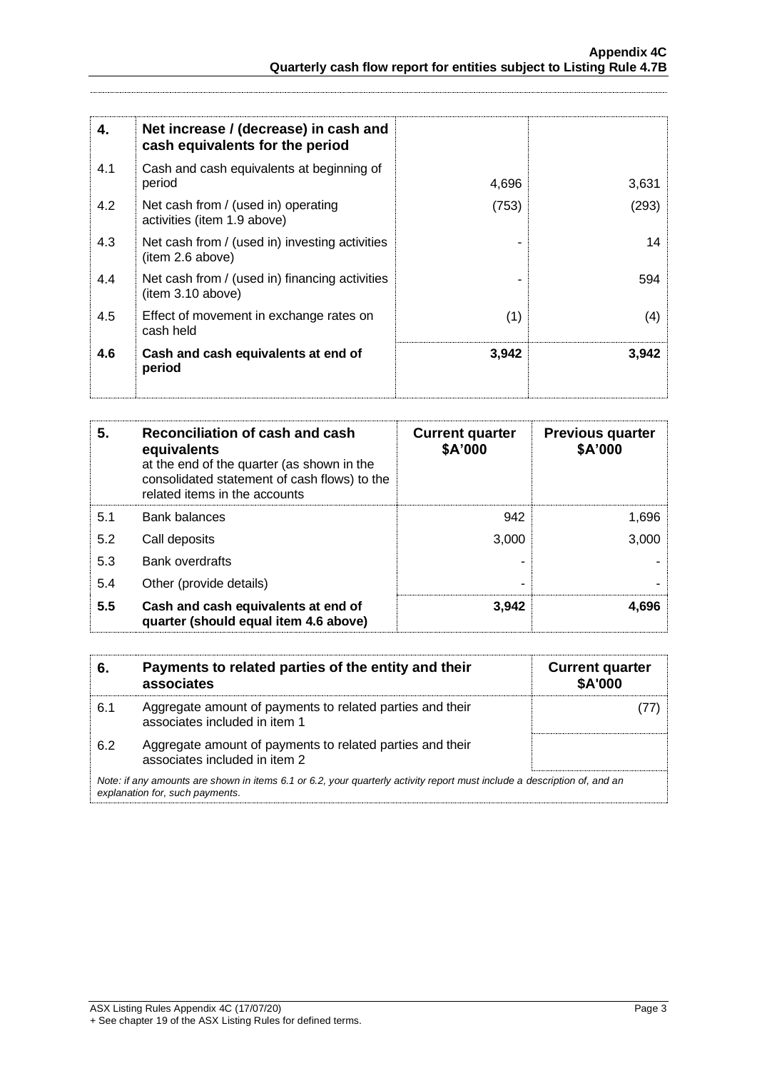| 4.  | Net increase / (decrease) in cash and<br>cash equivalents for the period |       |       |
|-----|--------------------------------------------------------------------------|-------|-------|
| 4.1 | Cash and cash equivalents at beginning of<br>period                      | 4,696 | 3,631 |
| 4.2 | Net cash from / (used in) operating<br>activities (item 1.9 above)       | (753) | (293) |
| 4.3 | Net cash from / (used in) investing activities<br>(item 2.6 above)       |       | 14    |
| 4.4 | Net cash from / (used in) financing activities<br>(item 3.10 above)      |       | 594   |
| 4.5 | Effect of movement in exchange rates on<br>cash held                     | (1)   | (4)   |
| 4.6 | Cash and cash equivalents at end of<br>period                            | 3,942 | 3,942 |

| 5.  | Reconciliation of cash and cash<br>equivalents<br>at the end of the quarter (as shown in the<br>consolidated statement of cash flows) to the<br>related items in the accounts | <b>Current quarter</b><br>\$A'000 | <b>Previous quarter</b><br>\$A'000 |
|-----|-------------------------------------------------------------------------------------------------------------------------------------------------------------------------------|-----------------------------------|------------------------------------|
| 5.1 | <b>Bank balances</b>                                                                                                                                                          | 942                               | 1,696                              |
| 5.2 | Call deposits                                                                                                                                                                 | 3,000                             | 3,000                              |
| 5.3 | <b>Bank overdrafts</b>                                                                                                                                                        |                                   |                                    |
| 5.4 | Other (provide details)                                                                                                                                                       |                                   |                                    |
| 5.5 | Cash and cash equivalents at end of<br>quarter (should equal item 4.6 above)                                                                                                  | 3,942                             | 4.696                              |

| 6.                                                                                                                                                          | Payments to related parties of the entity and their<br>associates                          | <b>Current quarter</b><br><b>\$A'000</b> |
|-------------------------------------------------------------------------------------------------------------------------------------------------------------|--------------------------------------------------------------------------------------------|------------------------------------------|
| 6.1                                                                                                                                                         | Aggregate amount of payments to related parties and their<br>associates included in item 1 |                                          |
| 6.2                                                                                                                                                         | Aggregate amount of payments to related parties and their<br>associates included in item 2 |                                          |
| Note: if any amounts are shown in items 6.1 or 6.2, your quarterly activity report must include a description of, and an<br>explanation for, such payments. |                                                                                            |                                          |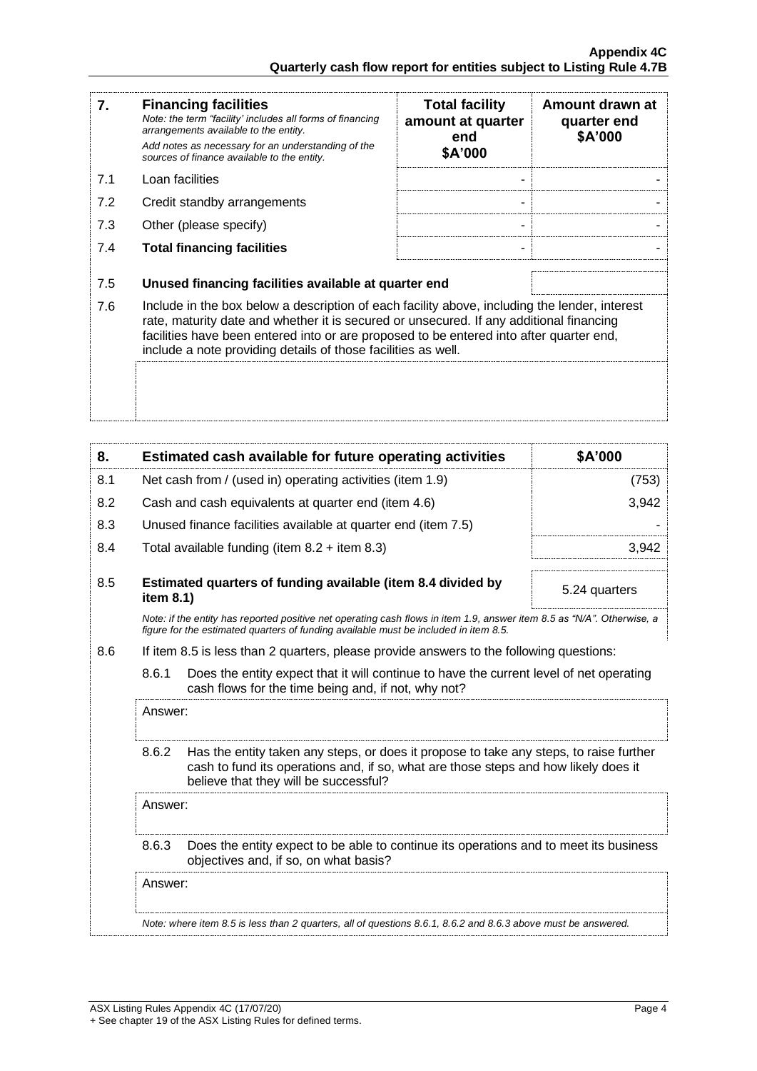| 7.  | <b>Financing facilities</b><br>Note: the term "facility' includes all forms of financing<br>arrangements available to the entity.<br>Add notes as necessary for an understanding of the<br>sources of finance available to the entity.                                                                                                               | <b>Total facility</b><br>amount at quarter<br>end<br>\$A'000 | Amount drawn at<br>quarter end<br>\$A'000 |
|-----|------------------------------------------------------------------------------------------------------------------------------------------------------------------------------------------------------------------------------------------------------------------------------------------------------------------------------------------------------|--------------------------------------------------------------|-------------------------------------------|
| 7.1 | Loan facilities                                                                                                                                                                                                                                                                                                                                      |                                                              |                                           |
| 7.2 | Credit standby arrangements                                                                                                                                                                                                                                                                                                                          |                                                              |                                           |
| 7.3 | Other (please specify)                                                                                                                                                                                                                                                                                                                               |                                                              |                                           |
| 7.4 | <b>Total financing facilities</b>                                                                                                                                                                                                                                                                                                                    |                                                              |                                           |
| 7.5 | Unused financing facilities available at quarter end                                                                                                                                                                                                                                                                                                 |                                                              |                                           |
| 7.6 | Include in the box below a description of each facility above, including the lender, interest<br>rate, maturity date and whether it is secured or unsecured. If any additional financing<br>facilities have been entered into or are proposed to be entered into after quarter end,<br>include a note providing details of those facilities as well. |                                                              |                                           |
|     |                                                                                                                                                                                                                                                                                                                                                      |                                                              |                                           |

| 8.  |                                                                                                                                                         | Estimated cash available for future operating activities                                                                                                                                                               | \$A'000       |
|-----|---------------------------------------------------------------------------------------------------------------------------------------------------------|------------------------------------------------------------------------------------------------------------------------------------------------------------------------------------------------------------------------|---------------|
| 8.1 |                                                                                                                                                         | Net cash from / (used in) operating activities (item 1.9)                                                                                                                                                              | (753)         |
| 8.2 |                                                                                                                                                         | Cash and cash equivalents at quarter end (item 4.6)                                                                                                                                                                    | 3,942         |
| 8.3 |                                                                                                                                                         | Unused finance facilities available at quarter end (item 7.5)                                                                                                                                                          |               |
| 8.4 |                                                                                                                                                         | Total available funding (item $8.2 +$ item $8.3$ )                                                                                                                                                                     | 3,942         |
| 8.5 | item 8.1)                                                                                                                                               | Estimated quarters of funding available (item 8.4 divided by                                                                                                                                                           | 5.24 quarters |
|     |                                                                                                                                                         | Note: if the entity has reported positive net operating cash flows in item 1.9, answer item 8.5 as "N/A". Otherwise, a<br>figure for the estimated quarters of funding available must be included in item 8.5.         |               |
| 8.6 |                                                                                                                                                         | If item 8.5 is less than 2 quarters, please provide answers to the following questions:                                                                                                                                |               |
|     | 8.6.1<br>Does the entity expect that it will continue to have the current level of net operating<br>cash flows for the time being and, if not, why not? |                                                                                                                                                                                                                        |               |
|     | Answer:                                                                                                                                                 |                                                                                                                                                                                                                        |               |
|     | 8.6.2                                                                                                                                                   | Has the entity taken any steps, or does it propose to take any steps, to raise further<br>cash to fund its operations and, if so, what are those steps and how likely does it<br>believe that they will be successful? |               |
|     | Answer:                                                                                                                                                 |                                                                                                                                                                                                                        |               |
|     | 8.6.3                                                                                                                                                   | Does the entity expect to be able to continue its operations and to meet its business<br>objectives and, if so, on what basis?                                                                                         |               |
|     | Answer:                                                                                                                                                 |                                                                                                                                                                                                                        |               |
|     |                                                                                                                                                         | Note: where item 8.5 is less than 2 quarters, all of questions 8.6.1, 8.6.2 and 8.6.3 above must be answered.                                                                                                          |               |